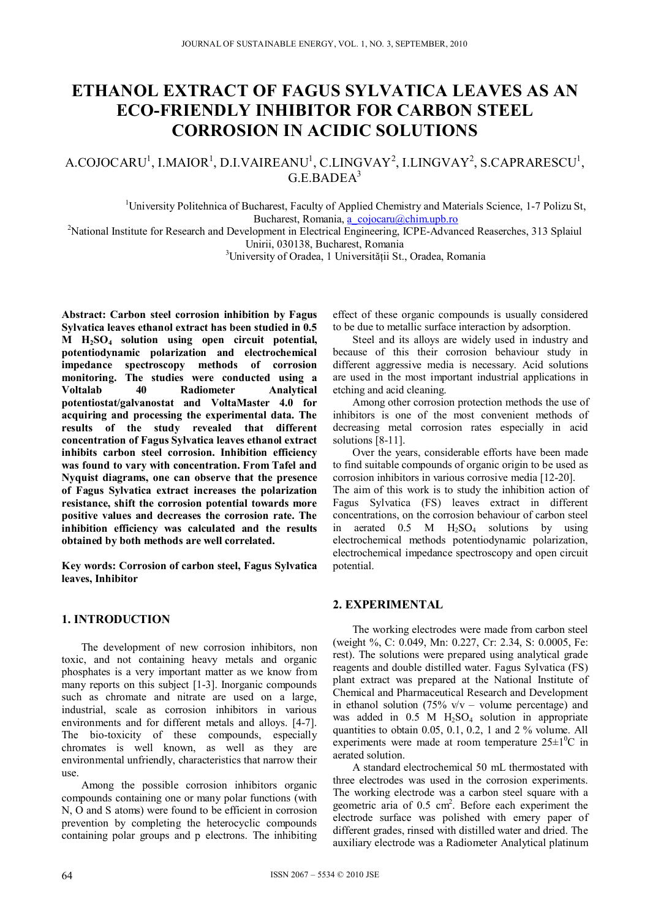# **ETHANOL EXTRACT OF FAGUS SYLVATICA LEAVES AS AN ECO-FRIENDLY INHIBITOR FOR CARBON STEEL CORROSION IN ACIDIC SOLUTIONS**

# $A$ .COJOCARU<sup>1</sup>, I.MAIOR<sup>1</sup>, D.I.VAIREANU<sup>1</sup>, C.LINGVAY<sup>2</sup>, I.LINGVAY<sup>2</sup>, S.CAPRARESCU<sup>1</sup>,  $G.$ E.BADE $\Lambda^3$

<sup>1</sup>University Politehnica of Bucharest, Faculty of Applied Chemistry and Materials Science, 1-7 Polizu St,

Bucharest, Romania, a cojocaru@chim.upb.ro <br><sup>2</sup>National Institute for Research and Development in Electrical Engineering, ICPE-Advanced Reaserches, 313 Splaiul Unirii, 030138, Bucharest, Romania

<sup>3</sup>University of Oradea, 1 Universității St., Oradea, Romania

**Abstract: Carbon steel corrosion inhibition by Fagus Sylvatica leaves ethanol extract has been studied in 0.5 M H2SO4 solution using open circuit potential, potentiodynamic polarization and electrochemical impedance spectroscopy methods of corrosion monitoring. The studies were conducted using a Radiometer potentiostat/galvanostat and VoltaMaster 4.0 for acquiring and processing the experimental data. The results of the study revealed that different concentration of Fagus Sylvatica leaves ethanol extract inhibits carbon steel corrosion. Inhibition efficiency was found to vary with concentration. From Tafel and Nyquist diagrams, one can observe that the presence of Fagus Sylvatica extract increases the polarization resistance, shift the corrosion potential towards more positive values and decreases the corrosion rate. The inhibition efficiency was calculated and the results obtained by both methods are well correlated.** 

**Key words: Corrosion of carbon steel, Fagus Sylvatica leaves, Inhibitor** 

## **1. INTRODUCTION**

The development of new corrosion inhibitors, non toxic, and not containing heavy metals and organic phosphates is a very important matter as we know from many reports on this subject [1-3]. Inorganic compounds such as chromate and nitrate are used on a large, industrial, scale as corrosion inhibitors in various environments and for different metals and alloys. [4-7]. The bio-toxicity of these compounds, especially chromates is well known, as well as they are environmental unfriendly, characteristics that narrow their use.

Among the possible corrosion inhibitors organic compounds containing one or many polar functions (with N, O and S atoms) were found to be efficient in corrosion prevention by completing the heterocyclic compounds containing polar groups and p electrons. The inhibiting

effect of these organic compounds is usually considered to be due to metallic surface interaction by adsorption.

Steel and its alloys are widely used in industry and because of this their corrosion behaviour study in different aggressive media is necessary. Acid solutions are used in the most important industrial applications in etching and acid cleaning.

Among other corrosion protection methods the use of inhibitors is one of the most convenient methods of decreasing metal corrosion rates especially in acid solutions [8-11].

Over the years, considerable efforts have been made to find suitable compounds of organic origin to be used as corrosion inhibitors in various corrosive media [12-20].

The aim of this work is to study the inhibition action of Fagus Sylvatica (FS) leaves extract in different concentrations, on the corrosion behaviour of carbon steel in aerated  $0.5$  M  $H<sub>2</sub>SO<sub>4</sub>$  solutions by using electrochemical methods potentiodynamic polarization, electrochemical impedance spectroscopy and open circuit potential.

## **2. EXPERIMENTAL**

The working electrodes were made from carbon steel (weight %, C: 0.049, Mn: 0.227, Cr: 2.34, S: 0.0005, Fe: rest). The solutions were prepared using analytical grade reagents and double distilled water. Fagus Sylvatica (FS) plant extract was prepared at the National Institute of Chemical and Pharmaceutical Research and Development in ethanol solution (75%  $v/v$  – volume percentage) and was added in 0.5 M H<sub>2</sub>SO<sub>4</sub> solution in appropriate quantities to obtain 0.05, 0.1, 0.2, 1 and 2 % volume. All experiments were made at room temperature  $25\pm1\textsuperscript{0}C$  in aerated solution.

A standard electrochemical 50 mL thermostated with three electrodes was used in the corrosion experiments. The working electrode was a carbon steel square with a geometric aria of 0.5 cm<sup>2</sup>. Before each experiment the electrode surface was polished with emery paper of different grades, rinsed with distilled water and dried. The auxiliary electrode was a Radiometer Analytical platinum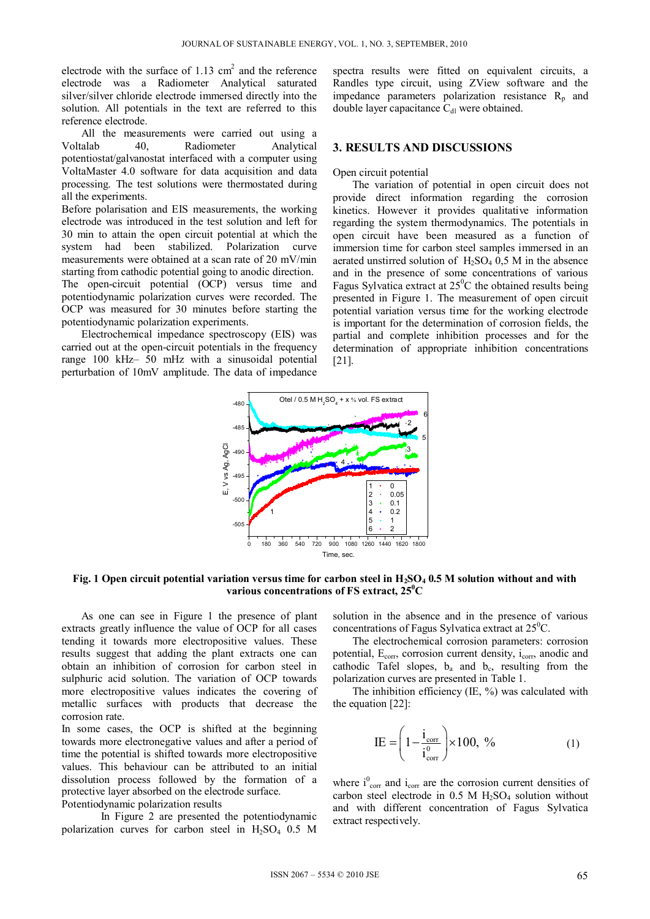electrode with the surface of  $1.13 \text{ cm}^2$  and the reference electrode was a Radiometer Analytical saturated silver/silver chloride electrode immersed directly into the solution. All potentials in the text are referred to this reference electrode.

All the measurements were carried out using a Voltalab 40, Radiometer Analytical potentiostat/galvanostat interfaced with a computer using VoltaMaster 4.0 software for data acquisition and data processing. The test solutions were thermostated during all the experiments.

Before polarisation and EIS measurements, the working electrode was introduced in the test solution and left for 30 min to attain the open circuit potential at which the system had been stabilized. Polarization curve measurements were obtained at a scan rate of 20 mV/min starting from cathodic potential going to anodic direction. The open-circuit potential (OCP) versus time and potentiodynamic polarization curves were recorded. The OCP was measured for 30 minutes before starting the potentiodynamic polarization experiments.

Electrochemical impedance spectroscopy (EIS) was carried out at the open-circuit potentials in the frequency range 100 kHz– 50 mHz with a sinusoidal potential perturbation of 10mV amplitude. The data of impedance spectra results were fitted on equivalent circuits, a Randles type circuit, using ZView software and the impedance parameters polarization resistance  $R_p$  and double layer capacitance  $C_{d}$  were obtained.

#### **3. RESULTS AND DISCUSSIONS**

#### Open circuit potential

The variation of potential in open circuit does not provide direct information regarding the corrosion kinetics. However it provides qualitative information regarding the system thermodynamics. The potentials in open circuit have been measured as a function of immersion time for carbon steel samples immersed in an aerated unstirred solution of  $H_2SO_4$  0.5 M in the absence and in the presence of some concentrations of various Fagus Sylvatica extract at  $25^{\circ}$ C the obtained results being presented in Figure 1. The measurement of open circuit potential variation versus time for the working electrode is important for the determination of corrosion fields, the partial and complete inhibition processes and for the determination of appropriate inhibition concentrations [21].



Fig. 1 Open circuit potential variation versus time for carbon steel in H<sub>2</sub>SO<sub>4</sub> 0.5 M solution without and with **various concentrations of FS extract, 250 C** 

As one can see in Figure 1 the presence of plant extracts greatly influence the value of OCP for all cases tending it towards more electropositive values. These results suggest that adding the plant extracts one can obtain an inhibition of corrosion for carbon steel in sulphuric acid solution. The variation of OCP towards more electropositive values indicates the covering of metallic surfaces with products that decrease the corrosion rate.

In some cases, the OCP is shifted at the beginning towards more electronegative values and after a period of time the potential is shifted towards more electropositive values. This behaviour can be attributed to an initial dissolution process followed by the formation of a protective layer absorbed on the electrode surface. Potentiodynamic polarization results

In Figure 2 are presented the potentiodynamic polarization curves for carbon steel in  $H<sub>2</sub>SO<sub>4</sub>$  0.5 M solution in the absence and in the presence of various concentrations of Fagus Sylvatica extract at  $25^{\circ}$ C.

The electrochemical corrosion parameters: corrosion potential, E<sub>corr</sub>, corrosion current density, i<sub>corr</sub>, anodic and cathodic Tafel slopes,  $b_a$  and  $b_c$ , resulting from the polarization curves are presented in Table 1.

The inhibition efficiency  $(IE, %)$  was calculated with the equation [22]:

$$
IE = \left(1 - \frac{i_{corr}}{i_{corr}^0}\right) \times 100, \frac{\%}{10}
$$
 (1)

where  $i_{corr}^0$  and  $i_{corr}$  are the corrosion current densities of carbon steel electrode in  $0.5$  M  $H<sub>2</sub>SO<sub>4</sub>$  solution without and with different concentration of Fagus Sylvatica extract respectively.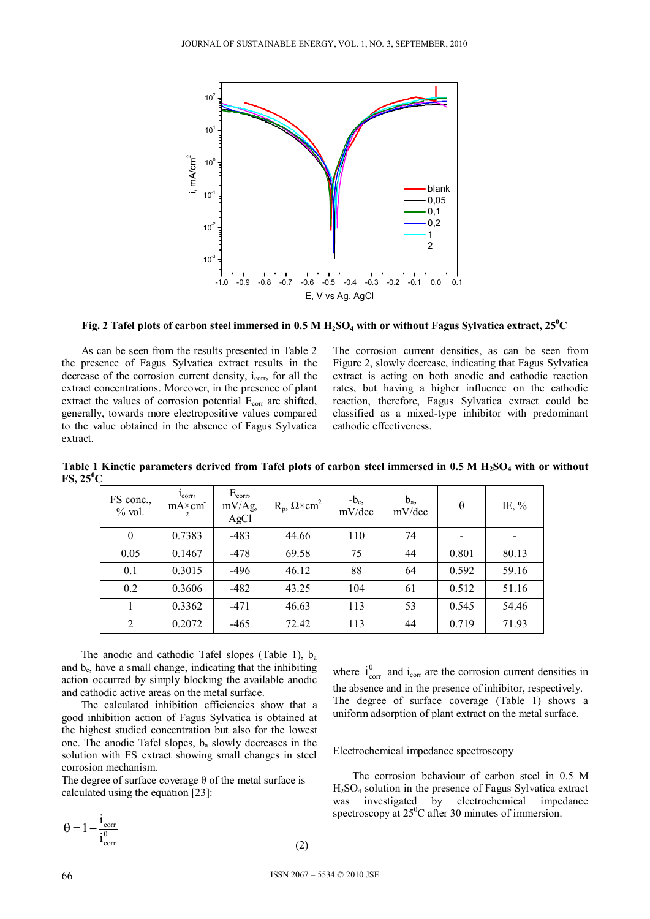

Fig. 2 Tafel plots of carbon steel immersed in  $0.5$  M  $\rm{H_2SO_4}$  with or without Fagus Sylvatica extract, 25 $^0C$ 

As can be seen from the results presented in Table 2 the presence of Fagus Sylvatica extract results in the decrease of the corrosion current density, i<sub>corr</sub>, for all the extract concentrations. Moreover, in the presence of plant extract the values of corrosion potential  $E_{\text{corr}}$  are shifted, generally, towards more electropositive values compared to the value obtained in the absence of Fagus Sylvatica extract.

The corrosion current densities, as can be seen from Figure 2, slowly decrease, indicating that Fagus Sylvatica extract is acting on both anodic and cathodic reaction rates, but having a higher influence on the cathodic reaction, therefore, Fagus Sylvatica extract could be classified as a mixed-type inhibitor with predominant cathodic effectiveness.

| ີ                     |                                          |                                 |                                     |                  |                 |                |          |
|-----------------------|------------------------------------------|---------------------------------|-------------------------------------|------------------|-----------------|----------------|----------|
| FS conc.,<br>$%$ vol. | $I_{\text{corr}}$<br>$mA \times cm$<br>2 | $E_{corr}$<br>$mV/Ag$ ,<br>AgCl | $R_p$ , $\Omega \times \text{cm}^2$ | $-b_c$<br>mV/dec | $b_a$<br>mV/dec | $\theta$       | IE, $\%$ |
| $\overline{0}$        | 0.7383                                   | $-483$                          | 44.66                               | 110              | 74              | $\overline{a}$ |          |
| 0.05                  | 0.1467                                   | $-478$                          | 69.58                               | 75               | 44              | 0.801          | 80.13    |
| 0.1                   | 0.3015                                   | $-496$                          | 46.12                               | 88               | 64              | 0.592          | 59.16    |
| 0.2                   | 0.3606                                   | $-482$                          | 43.25                               | 104              | 61              | 0.512          | 51.16    |
|                       | 0.3362                                   | $-471$                          | 46.63                               | 113              | 53              | 0.545          | 54.46    |
| 2                     | 0.2072                                   | $-465$                          | 72.42                               | 113              | 44              | 0.719          | 71.93    |

Table 1 Kinetic parameters derived from Tafel plots of carbon steel immersed in 0.5 M H<sub>2</sub>SO<sub>4</sub> with or without  $\text{FS}, 25^{\circ} \text{C}$ 

The anodic and cathodic Tafel slopes (Table 1),  $b_a$ and  $b<sub>c</sub>$ , have a small change, indicating that the inhibiting action occurred by simply blocking the available anodic and cathodic active areas on the metal surface.

The calculated inhibition efficiencies show that a good inhibition action of Fagus Sylvatica is obtained at the highest studied concentration but also for the lowest one. The anodic Tafel slopes,  $b_a$  slowly decreases in the solution with FS extract showing small changes in steel corrosion mechanism.

The degree of surface coverage  $\theta$  of the metal surface is calculated using the equation [23]:

$$
\theta = 1 - \frac{i_{\text{corr}}}{i_{\text{corr}}^0} \tag{2}
$$

where  $i_{\text{corr}}^0$  and  $i_{\text{corr}}$  are the corrosion current densities in the absence and in the presence of inhibitor, respectively. The degree of surface coverage (Table 1) shows a uniform adsorption of plant extract on the metal surface.

#### Electrochemical impedance spectroscopy

 The corrosion behaviour of carbon steel in 0.5 M H2SO4 solution in the presence of Fagus Sylvatica extract was investigated by electrochemical impedance spectroscopy at  $25^{\circ}$ C after 30 minutes of immersion.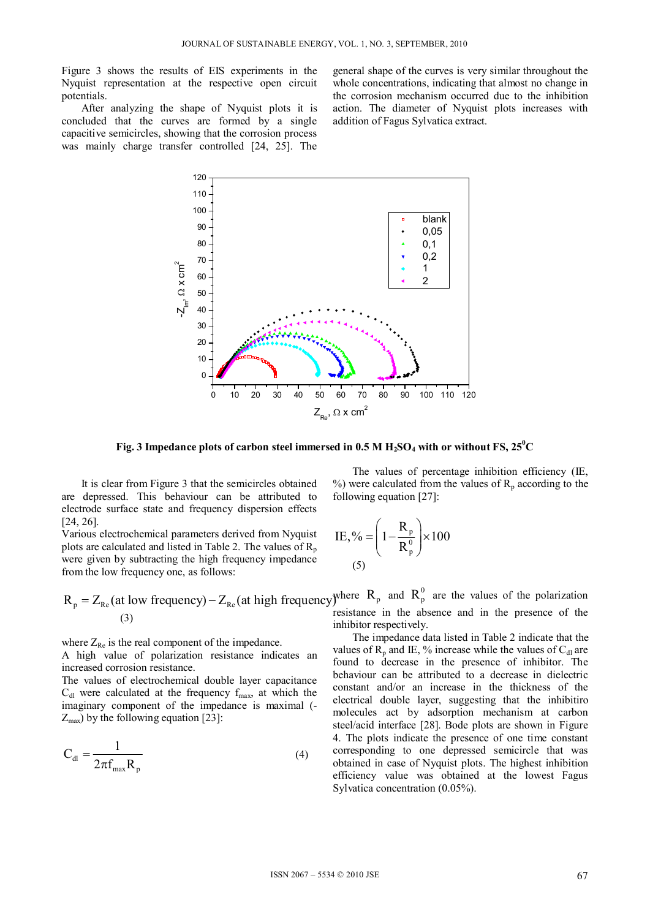Figure 3 shows the results of EIS experiments in the Nyquist representation at the respective open circuit potentials.

After analyzing the shape of Nyquist plots it is concluded that the curves are formed by a single capacitive semicircles, showing that the corrosion process was mainly charge transfer controlled [24, 25]. The general shape of the curves is very similar throughout the whole concentrations, indicating that almost no change in the corrosion mechanism occurred due to the inhibition action. The diameter of Nyquist plots increases with addition of Fagus Sylvatica extract.



Fig. 3 Impedance plots of carbon steel immersed in  $0.5$  M  $H_2SO_4$  with or without FS,  $25^0C$ 

It is clear from Figure 3 that the semicircles obtained are depressed. This behaviour can be attributed to electrode surface state and frequency dispersion effects [24, 26].

Various electrochemical parameters derived from Nyquist plots are calculated and listed in Table 2. The values of  $R_p$ were given by subtracting the high frequency impedance from the low frequency one, as follows:

$$
R_p = Z_{Re} \text{ (at low frequency)} - Z_{Re} \text{ (at high frequency)} \text{ where } R_p \text{ and } R_p^0 \text{ are the values of the polarization resistance in the absence and in the presence of the polarization.}
$$

where  $Z_{\text{Re}}$  is the real component of the impedance.

A high value of polarization resistance indicates an increased corrosion resistance.

The values of electrochemical double layer capacitance  $C_{dl}$  were calculated at the frequency  $f_{max}$ , at which the imaginary component of the impedance is maximal (-  $Z_{\text{max}}$ ) by the following equation [23]:

$$
C_{\rm dl} = \frac{1}{2\pi f_{\rm max} R_{\rm p}}\tag{4}
$$

The values of percentage inhibition efficiency (IE, %) were calculated from the values of  $R_p$  according to the following equation [27]:

IE, % = 
$$
\left(1 - \frac{R_p}{R_p^0}\right) \times 100
$$
  
(5)

resistance in the absence and in the presence of the inhibitor respectively.

The impedance data listed in Table 2 indicate that the values of  $R_p$  and IE, % increase while the values of  $C_{d}$  are found to decrease in the presence of inhibitor. The behaviour can be attributed to a decrease in dielectric constant and/or an increase in the thickness of the electrical double layer, suggesting that the inhibitiro molecules act by adsorption mechanism at carbon steel/acid interface [28]. Bode plots are shown in Figure 4. The plots indicate the presence of one time constant corresponding to one depressed semicircle that was obtained in case of Nyquist plots. The highest inhibition efficiency value was obtained at the lowest Fagus Sylvatica concentration (0.05%).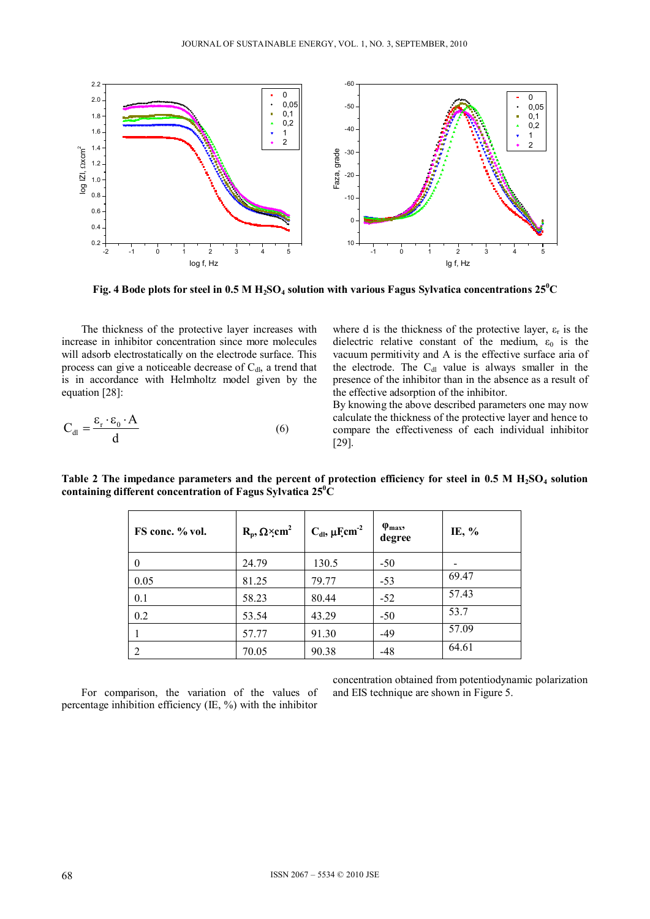

Fig. 4 Bode plots for steel in  $0.5$  M  $\rm H_2SO_4$  solution with various Fagus Sylvatica concentrations 25  $^{\rm 0}$ C

The thickness of the protective layer increases with increase in inhibitor concentration since more molecules will adsorb electrostatically on the electrode surface. This process can give a noticeable decrease of  $C_{\rm dl}$ , a trend that is in accordance with Helmholtz model given by the equation [28]:

$$
C_{\rm dl} = \frac{\varepsilon_{\rm r} \cdot \varepsilon_0 \cdot A}{d} \tag{6}
$$

where d is the thickness of the protective layer,  $\varepsilon_r$  is the dielectric relative constant of the medium,  $\varepsilon_0$  is the vacuum permitivity and A is the effective surface aria of the electrode. The  $C_{dl}$  value is always smaller in the presence of the inhibitor than in the absence as a result of the effective adsorption of the inhibitor.

By knowing the above described parameters one may now calculate the thickness of the protective layer and hence to compare the effectiveness of each individual inhibitor [29].

| FS conc. % vol. | $R_p, \Omega \times cm^2$ | $C_{\rm dl}$ , $\mu$ F <sub>cm</sub> <sup>-2</sup> | $\varphi$ <sub>max</sub> ,<br>degree | IE, % |
|-----------------|---------------------------|----------------------------------------------------|--------------------------------------|-------|
| $\theta$        | 24.79                     | 130.5                                              | $-50$                                |       |
| 0.05            | 81.25                     | 79.77                                              | $-53$                                | 69.47 |
| 0.1             | 58.23                     | 80.44                                              | $-52$                                | 57.43 |
| 0.2             | 53.54                     | 43.29                                              | $-50$                                | 53.7  |
|                 | 57.77                     | 91.30                                              | $-49$                                | 57.09 |
| $\mathcal{D}$   | 70.05                     | 90.38                                              | $-48$                                | 64.61 |

Table 2 The impedance parameters and the percent of protection efficiency for steel in 0.5 M H<sub>2</sub>SO<sub>4</sub> solution **containing different concentration of Fagus Sylvatica 250 C** 

For comparison, the variation of the values of percentage inhibition efficiency (IE, %) with the inhibitor

concentration obtained from potentiodynamic polarization and EIS technique are shown in Figure 5.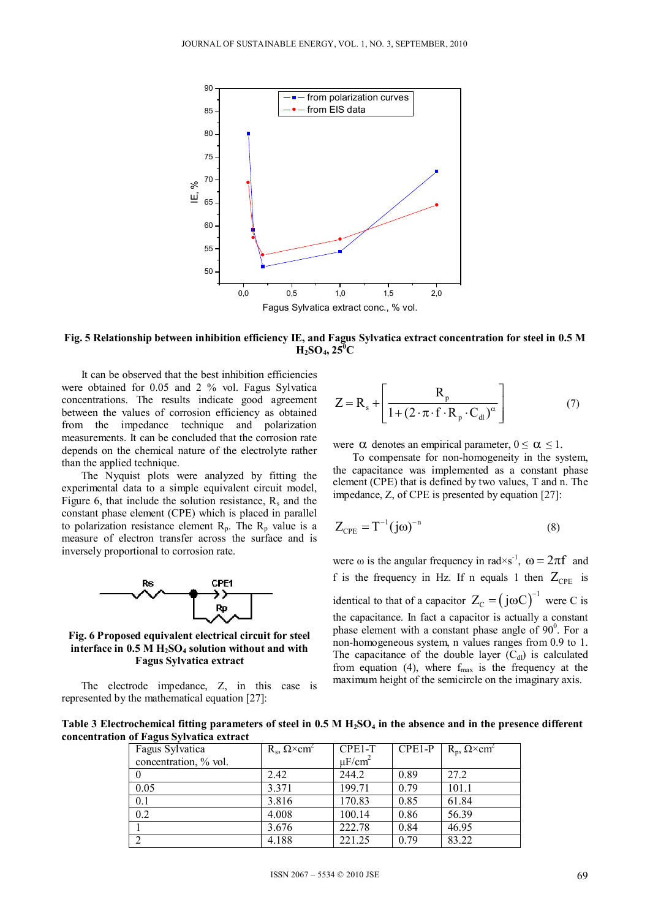

**Fig. 5 Relationship between inhibition efficiency IE, and Fagus Sylvatica extract concentration for steel in 0.5 M**   $H_2SO_4$ ,  $25^{\circ}C$ 

 It can be observed that the best inhibition efficiencies were obtained for 0.05 and 2 % vol. Fagus Sylvatica concentrations. The results indicate good agreement between the values of corrosion efficiency as obtained from the impedance technique and polarization measurements. It can be concluded that the corrosion rate depends on the chemical nature of the electrolyte rather than the applied technique.

 The Nyquist plots were analyzed by fitting the experimental data to a simple equivalent circuit model, Figure 6, that include the solution resistance,  $R_s$  and the constant phase element (CPE) which is placed in parallel to polarization resistance element  $R_p$ . The  $R_p$  value is a measure of electron transfer across the surface and is inversely proportional to corrosion rate.



**Fig. 6 Proposed equivalent electrical circuit for steel**  interface in 0.5 M H<sub>2</sub>SO<sub>4</sub> solution without and with **Fagus Sylvatica extract** 

The electrode impedance, Z, in this case is represented by the mathematical equation [27]:

$$
Z = R_{s} + \left[ \frac{R_{p}}{1 + (2 \cdot \pi \cdot f \cdot R_{p} \cdot C_{d})^{\alpha}} \right]
$$
 (7)

were  $\alpha$  denotes an empirical parameter,  $0 \le \alpha \le 1$ .

To compensate for non-homogeneity in the system, the capacitance was implemented as a constant phase element (CPE) that is defined by two values, T and n. The impedance, Z, of CPE is presented by equation [27]:

$$
Z_{\rm CPE} = T^{-1} (j\omega)^{-n} \tag{8}
$$

were  $\omega$  is the angular frequency in rad×s<sup>-1</sup>,  $\omega = 2\pi f$  and f is the frequency in Hz. If n equals 1 then  $Z_{\text{CPE}}$  is identical to that of a capacitor  $Z_C = (j\omega C)^{-1}$  were C is the capacitance. In fact a capacitor is actually a constant phase element with a constant phase angle of  $90^\circ$ . For a non-homogeneous system, n values ranges from 0.9 to 1. The capacitance of the double layer  $(C_{d})$  is calculated from equation (4), where  $f_{\text{max}}$  is the frequency at the maximum height of the semicircle on the imaginary axis.

Table 3 Electrochemical fitting parameters of steel in 0.5 M H<sub>2</sub>SO<sub>4</sub> in the absence and in the presence different **concentration of Fagus Sylvatica extract** 

| Fagus Sylvatica       | $R_s$ , $\Omega \times \text{cm}^2$ | CPE1-T                  | CPE1-P | $R_p$ , $\Omega \times \text{cm}^2$ |
|-----------------------|-------------------------------------|-------------------------|--------|-------------------------------------|
| concentration, % vol. |                                     | $\mu$ F/cm <sup>2</sup> |        |                                     |
| $\theta$              | 2.42                                | 244.2                   | 0.89   | 27.2                                |
| 0.05                  | 3.371                               | 199.71                  | 0.79   | 101.1                               |
| 0.1                   | 3.816                               | 170.83                  | 0.85   | 61.84                               |
| 0.2                   | 4.008                               | 100.14                  | 0.86   | 56.39                               |
|                       | 3.676                               | 222.78                  | 0.84   | 46.95                               |
| $\overline{2}$        | 4.188                               | 221.25                  | 0.79   | 83.22                               |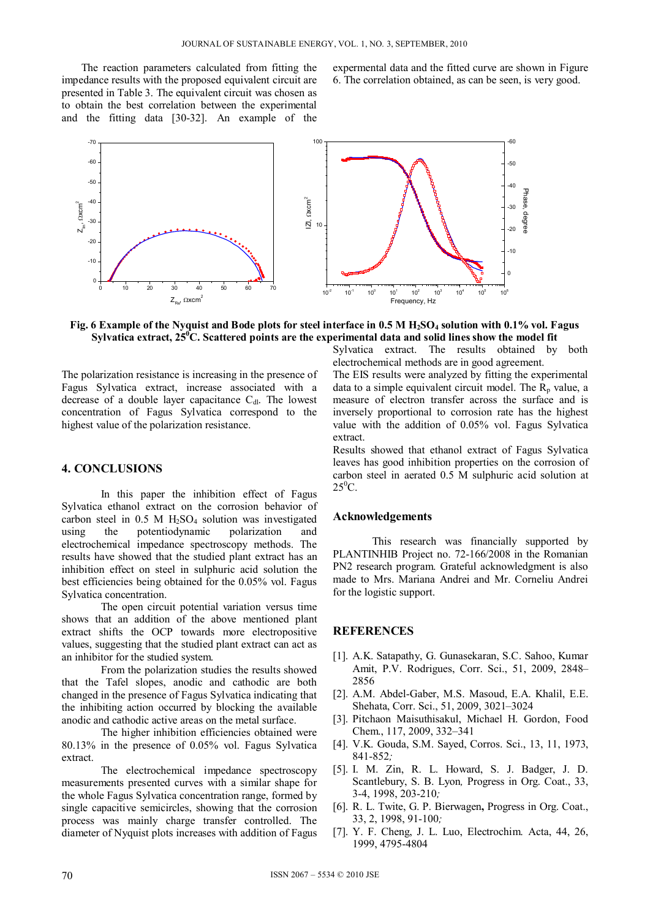The reaction parameters calculated from fitting the impedance results with the proposed equivalent circuit are presented in Table 3. The equivalent circuit was chosen as to obtain the best correlation between the experimental and the fitting data [30-32]. An example of the

expermental data and the fitted curve are shown in Figure 6. The correlation obtained, as can be seen, is very good.



Fig. 6 Example of the Nyquist and Bode plots for steel interface in 0.5 M H<sub>2</sub>SO<sub>4</sub> solution with 0.1% vol. Fagus Sylvatica extract, 25<sup>°</sup>C. Scattered points are the experimental data and solid lines show the model fit

The polarization resistance is increasing in the presence of Fagus Sylvatica extract, increase associated with a decrease of a double layer capacitance  $C_{dl}$ . The lowest concentration of Fagus Sylvatica correspond to the highest value of the polarization resistance.

#### **4. CONCLUSIONS**

In this paper the inhibition effect of Fagus Sylvatica ethanol extract on the corrosion behavior of carbon steel in  $0.5$  M  $H<sub>2</sub>SO<sub>4</sub>$  solution was investigated using the potentiodynamic polarization and electrochemical impedance spectroscopy methods. The results have showed that the studied plant extract has an inhibition effect on steel in sulphuric acid solution the best efficiencies being obtained for the 0.05% vol. Fagus Sylvatica concentration.

The open circuit potential variation versus time shows that an addition of the above mentioned plant extract shifts the OCP towards more electropositive values, suggesting that the studied plant extract can act as an inhibitor for the studied system.

From the polarization studies the results showed that the Tafel slopes, anodic and cathodic are both changed in the presence of Fagus Sylvatica indicating that the inhibiting action occurred by blocking the available anodic and cathodic active areas on the metal surface.

The higher inhibition efficiencies obtained were 80.13% in the presence of 0.05% vol. Fagus Sylvatica extract.

The electrochemical impedance spectroscopy measurements presented curves with a similar shape for the whole Fagus Sylvatica concentration range, formed by single capacitive semicircles, showing that the corrosion process was mainly charge transfer controlled. The diameter of Nyquist plots increases with addition of Fagus Sylvatica extract. The results obtained by both electrochemical methods are in good agreement.

The EIS results were analyzed by fitting the experimental data to a simple equivalent circuit model. The  $R_p$  value, a measure of electron transfer across the surface and is inversely proportional to corrosion rate has the highest value with the addition of 0.05% vol. Fagus Sylvatica extract.

Results showed that ethanol extract of Fagus Sylvatica leaves has good inhibition properties on the corrosion of carbon steel in aerated 0.5 M sulphuric acid solution at  $25^0C$ .

#### **Acknowledgements**

This research was financially supported by PLANTINHIB Project no. 72-166/2008 in the Romanian PN2 research program. Grateful acknowledgment is also made to Mrs. Mariana Andrei and Mr. Corneliu Andrei for the logistic support.

#### **REFERENCES**

- [1]. A.K. Satapathy, G. Gunasekaran, S.C. Sahoo, Kumar Amit, P.V. Rodrigues, Corr. Sci., 51, 2009, 2848– 2856
- [2]. A.M. Abdel-Gaber, M.S. Masoud, E.A. Khalil, E.E. Shehata, Corr. Sci., 51, 2009, 3021–3024
- [3]. Pitchaon Maisuthisakul, Michael H. Gordon, Food Chem., 117, 2009, 332–341
- [4]. V.K. Gouda, S.M. Sayed, Corros. Sci., 13, 11, 1973, 841-852*;*
- [5]. I. M. Zin, R. L. Howard, S. J. Badger, J. D. Scantlebury, S. B. Lyon*,* Progress in Org. Coat., 33, 3-4, 1998, 203-210*;*
- [6]. R. L. Twite, G. P. Bierwagen**,** Progress in Org. Coat., 33, 2, 1998, 91-100*;*
- [7]. Y. F. Cheng, J. L. Luo, Electrochim. Acta, 44, 26, 1999, 4795-4804